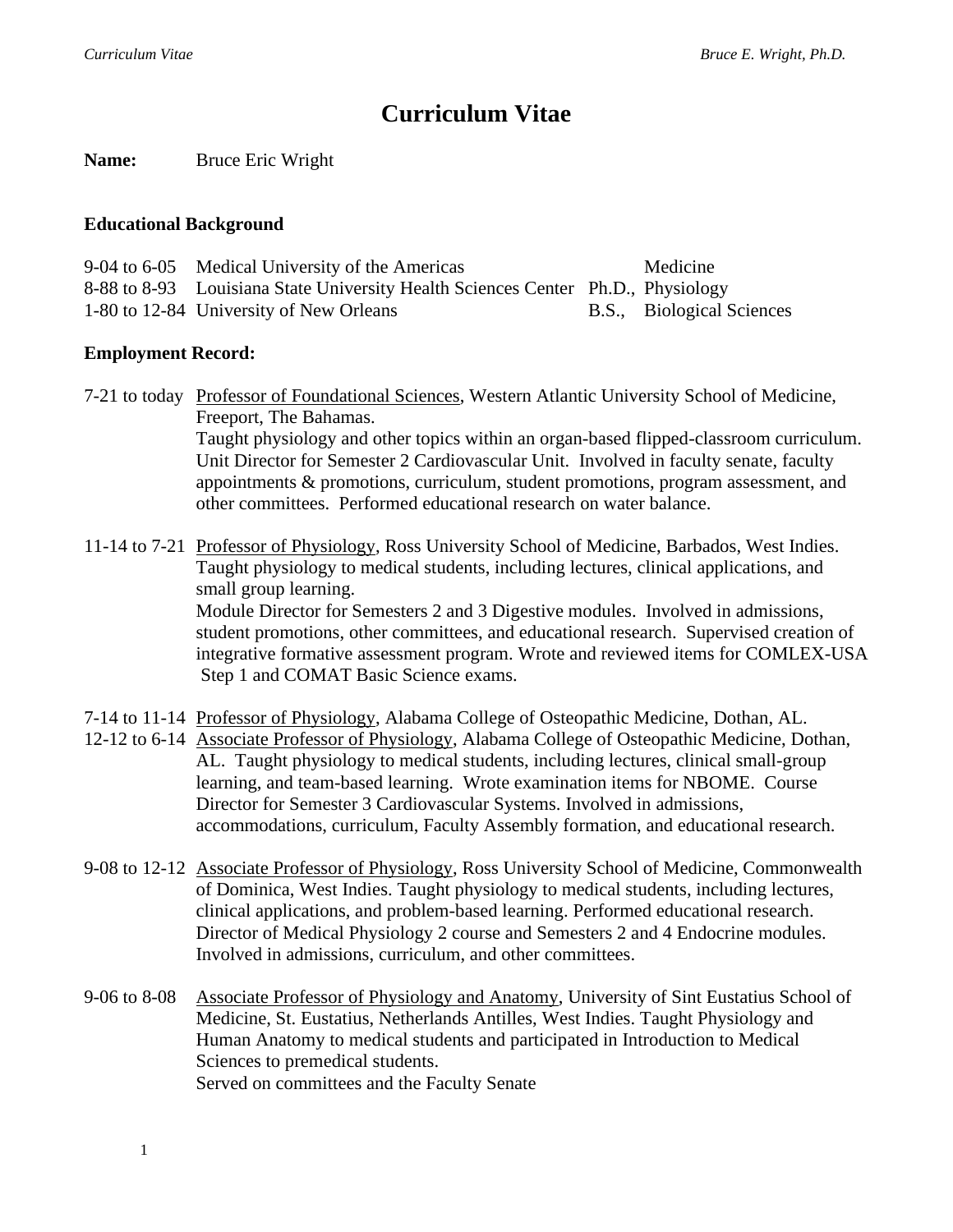# **Curriculum Vitae**

**Name:** Bruce Eric Wright

#### **Educational Background**

| 9-04 to 6-05 Medical University of the Americas                                  | Medicine                  |
|----------------------------------------------------------------------------------|---------------------------|
| 8-88 to 8-93 Louisiana State University Health Sciences Center Ph.D., Physiology |                           |
| 1-80 to 12-84 University of New Orleans                                          | B.S., Biological Sciences |

## **Employment Record:**

7-21 to today Professor of Foundational Sciences, Western Atlantic University School of Medicine, Freeport, The Bahamas. Taught physiology and other topics within an organ-based flipped-classroom curriculum. Unit Director for Semester 2 Cardiovascular Unit. Involved in faculty senate, faculty appointments & promotions, curriculum, student promotions, program assessment, and other committees. Performed educational research on water balance.

11-14 to 7-21 Professor of Physiology, Ross University School of Medicine, Barbados, West Indies. Taught physiology to medical students, including lectures, clinical applications, and small group learning. Module Director for Semesters 2 and 3 Digestive modules. Involved in admissions, student promotions, other committees, and educational research. Supervised creation of integrative formative assessment program. Wrote and reviewed items for COMLEX-USA Step 1 and COMAT Basic Science exams.

- 7-14 to 11-14 Professor of Physiology, Alabama College of Osteopathic Medicine, Dothan, AL.
- 12-12 to 6-14 Associate Professor of Physiology, Alabama College of Osteopathic Medicine, Dothan, AL. Taught physiology to medical students, including lectures, clinical small-group learning, and team-based learning. Wrote examination items for NBOME. Course Director for Semester 3 Cardiovascular Systems. Involved in admissions, accommodations, curriculum, Faculty Assembly formation, and educational research.
- 9-08 to 12-12 Associate Professor of Physiology, Ross University School of Medicine, Commonwealth of Dominica, West Indies. Taught physiology to medical students, including lectures, clinical applications, and problem-based learning. Performed educational research. Director of Medical Physiology 2 course and Semesters 2 and 4 Endocrine modules. Involved in admissions, curriculum, and other committees.
- 9-06 to 8-08 Associate Professor of Physiology and Anatomy, University of Sint Eustatius School of Medicine, St. Eustatius, Netherlands Antilles, West Indies. Taught Physiology and Human Anatomy to medical students and participated in Introduction to Medical Sciences to premedical students. Served on committees and the Faculty Senate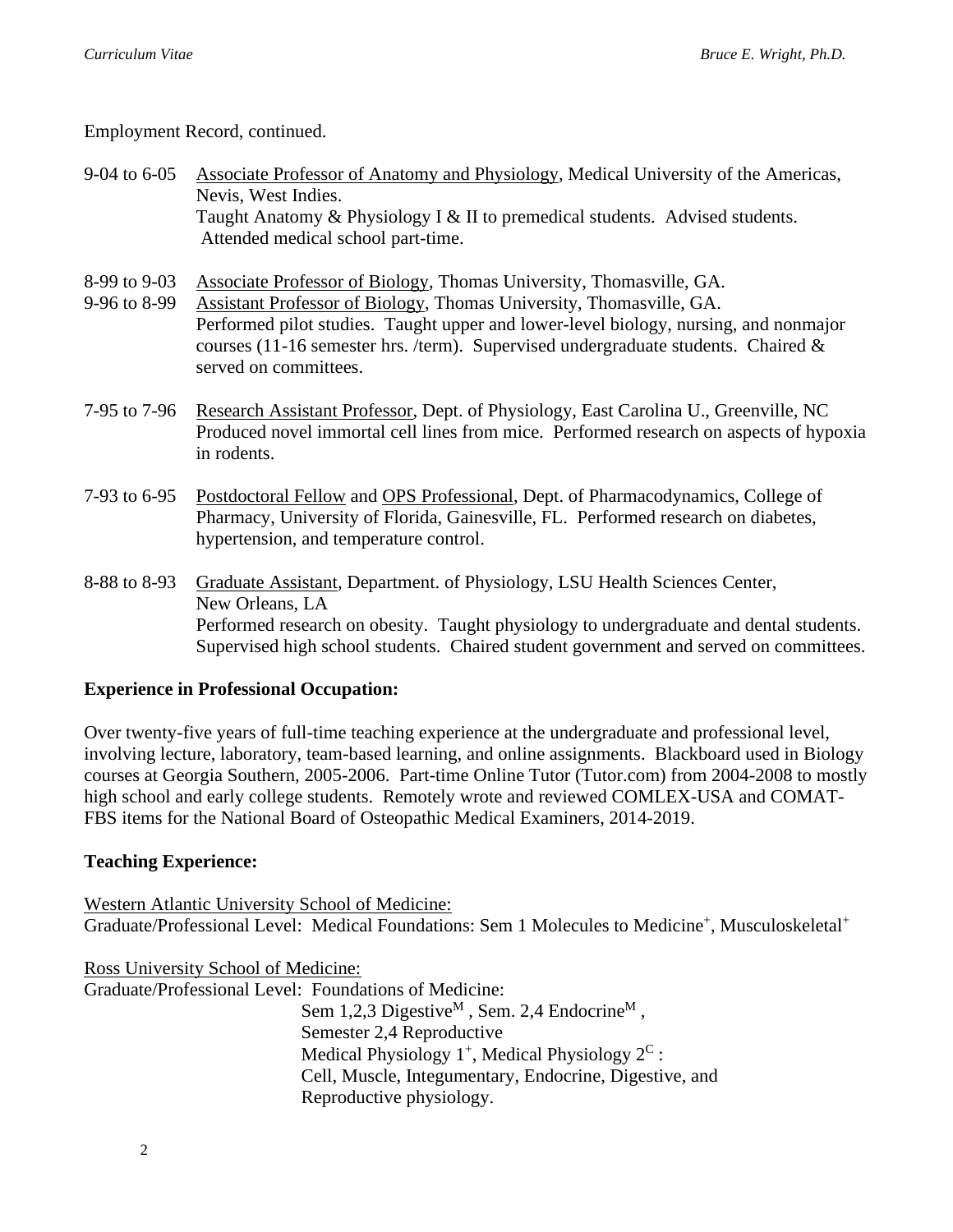Employment Record, continued.

- 9-04 to 6-05 Associate Professor of Anatomy and Physiology, Medical University of the Americas, Nevis, West Indies. Taught Anatomy & Physiology I & II to premedical students. Advised students. Attended medical school part-time.
- 8-99 to 9-03 Associate Professor of Biology, Thomas University, Thomasville, GA.
- 9-96 to 8-99 Assistant Professor of Biology, Thomas University, Thomasville, GA. Performed pilot studies. Taught upper and lower-level biology, nursing, and nonmajor courses (11-16 semester hrs. /term). Supervised undergraduate students. Chaired  $\&$ served on committees.
- 7-95 to 7-96 Research Assistant Professor, Dept. of Physiology, East Carolina U., Greenville, NC Produced novel immortal cell lines from mice. Performed research on aspects of hypoxia in rodents.
- 7-93 to 6-95 Postdoctoral Fellow and OPS Professional, Dept. of Pharmacodynamics, College of Pharmacy, University of Florida, Gainesville, FL. Performed research on diabetes, hypertension, and temperature control.
- 8-88 to 8-93 Graduate Assistant, Department. of Physiology, LSU Health Sciences Center, New Orleans, LA Performed research on obesity. Taught physiology to undergraduate and dental students. Supervised high school students. Chaired student government and served on committees.

## **Experience in Professional Occupation:**

Over twenty-five years of full-time teaching experience at the undergraduate and professional level, involving lecture, laboratory, team-based learning, and online assignments. Blackboard used in Biology courses at Georgia Southern, 2005-2006. Part-time Online Tutor (Tutor.com) from 2004-2008 to mostly high school and early college students. Remotely wrote and reviewed COMLEX-USA and COMAT-FBS items for the National Board of Osteopathic Medical Examiners, 2014-2019.

## **Teaching Experience:**

Western Atlantic University School of Medicine: Graduate/Professional Level: Medical Foundations: Sem 1 Molecules to Medicine<sup>+</sup>, Musculoskeletal<sup>+</sup>

Ross University School of Medicine: Graduate/Professional Level: Foundations of Medicine: Sem 1,2,3 Digestive<sup>M</sup>, Sem. 2,4 Endocrine<sup>M</sup>, Semester 2,4 Reproductive Medical Physiology  $1^+$ , Medical Physiology  $2^C$ : Cell, Muscle, Integumentary, Endocrine, Digestive, and Reproductive physiology.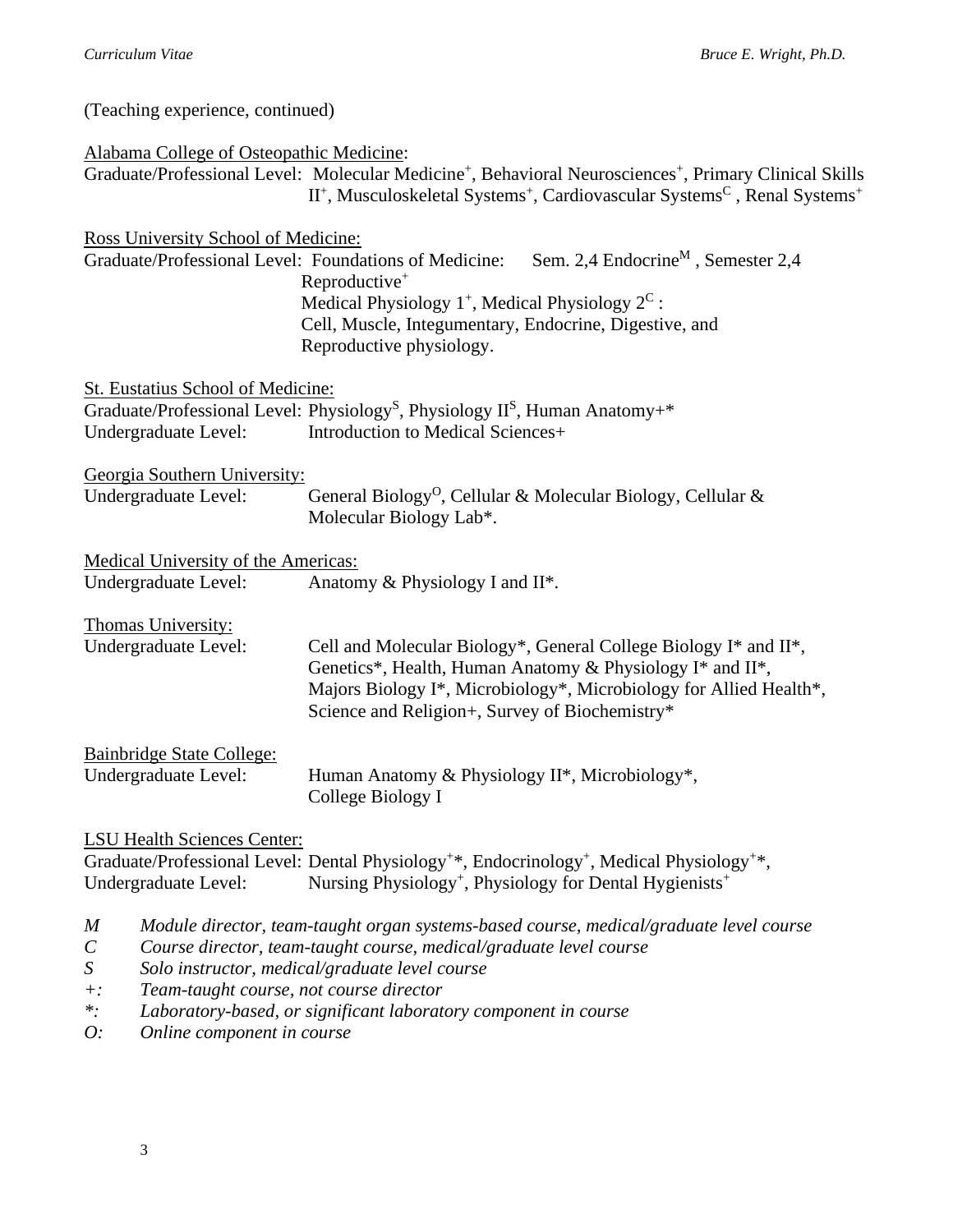(Teaching experience, continued)

| Alabama College of Osteopathic Medicine:                     |                                                                                                                                                                                                                                                    |  |
|--------------------------------------------------------------|----------------------------------------------------------------------------------------------------------------------------------------------------------------------------------------------------------------------------------------------------|--|
|                                                              | Graduate/Professional Level: Molecular Medicine <sup>+</sup> , Behavioral Neurosciences <sup>+</sup> , Primary Clinical Skills<br>$II^+$ , Musculoskeletal Systems <sup>+</sup> , Cardiovascular Systems <sup>C</sup> , Renal Systems <sup>+</sup> |  |
| Ross University School of Medicine:                          |                                                                                                                                                                                                                                                    |  |
| Graduate/Professional Level: Foundations of Medicine:        | Sem. 2,4 Endocrine <sup>M</sup> , Semester 2,4                                                                                                                                                                                                     |  |
|                                                              | Reproductive <sup>+</sup>                                                                                                                                                                                                                          |  |
|                                                              | Medical Physiology 1 <sup>+</sup> , Medical Physiology 2 <sup>C</sup> :                                                                                                                                                                            |  |
|                                                              | Cell, Muscle, Integumentary, Endocrine, Digestive, and<br>Reproductive physiology.                                                                                                                                                                 |  |
| St. Eustatius School of Medicine:                            |                                                                                                                                                                                                                                                    |  |
|                                                              | Graduate/Professional Level: Physiology <sup>S</sup> , Physiology II <sup>S</sup> , Human Anatomy+*                                                                                                                                                |  |
| Undergraduate Level:                                         | Introduction to Medical Sciences+                                                                                                                                                                                                                  |  |
| Georgia Southern University:                                 |                                                                                                                                                                                                                                                    |  |
| Undergraduate Level:                                         | General Biology <sup>0</sup> , Cellular & Molecular Biology, Cellular &                                                                                                                                                                            |  |
|                                                              | Molecular Biology Lab*.                                                                                                                                                                                                                            |  |
| <b>Medical University of the Americas:</b>                   |                                                                                                                                                                                                                                                    |  |
| Undergraduate Level:                                         | Anatomy & Physiology I and II*.                                                                                                                                                                                                                    |  |
| Thomas University:                                           |                                                                                                                                                                                                                                                    |  |
| Undergraduate Level:                                         | Cell and Molecular Biology*, General College Biology I* and II*,                                                                                                                                                                                   |  |
|                                                              | Genetics*, Health, Human Anatomy & Physiology I* and II*,                                                                                                                                                                                          |  |
|                                                              | Majors Biology I*, Microbiology*, Microbiology for Allied Health*,<br>Science and Religion+, Survey of Biochemistry*                                                                                                                               |  |
|                                                              |                                                                                                                                                                                                                                                    |  |
| Bainbridge State College:<br>Undergraduate Level:            | Human Anatomy & Physiology II*, Microbiology*,                                                                                                                                                                                                     |  |
|                                                              | College Biology I                                                                                                                                                                                                                                  |  |
| <b>LSU Health Sciences Center:</b>                           |                                                                                                                                                                                                                                                    |  |
|                                                              | Graduate/Professional Level: Dental Physiology <sup>+*</sup> , Endocrinology <sup>+</sup> , Medical Physiology <sup>+*</sup> ,                                                                                                                     |  |
| Undergraduate Level:                                         | Nursing Physiology <sup>+</sup> , Physiology for Dental Hygienists <sup>+</sup>                                                                                                                                                                    |  |
| M                                                            | Module director, team-taught organ systems-based course, medical/graduate level course                                                                                                                                                             |  |
| $\mathcal{C}_{0}$                                            | Course director, team-taught course, medical/graduate level course                                                                                                                                                                                 |  |
| S                                                            | Solo instructor, medical/graduate level course                                                                                                                                                                                                     |  |
| Team-taught course, not course director<br>$+$ :<br>$\ast$ . | Laboratory-based, or significant laboratory component in course                                                                                                                                                                                    |  |

*\*: Laboratory-based, or significant laboratory component in course O: Online component in course*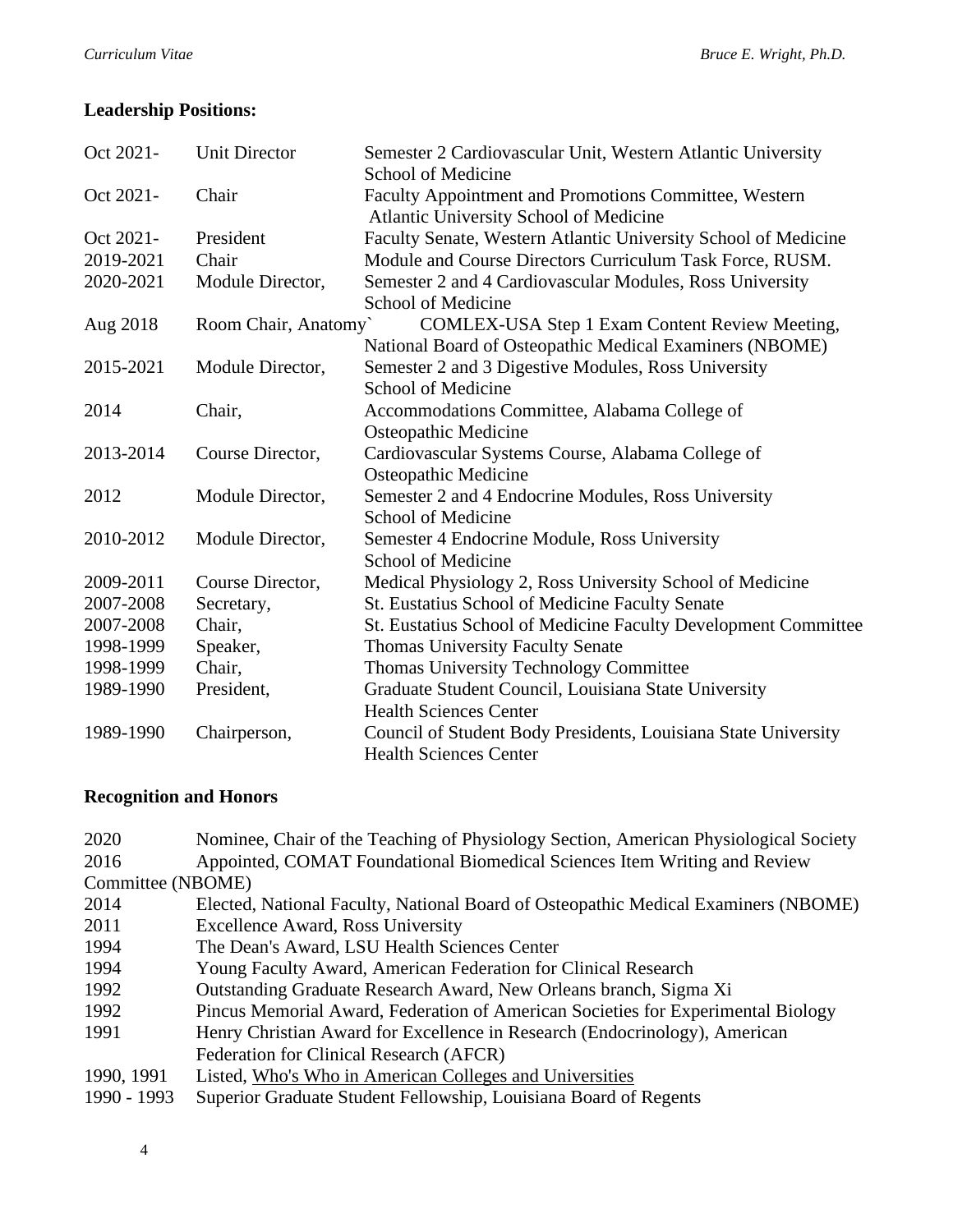# **Leadership Positions:**

| Oct 2021- | <b>Unit Director</b> | Semester 2 Cardiovascular Unit, Western Atlantic University<br>School of Medicine               |
|-----------|----------------------|-------------------------------------------------------------------------------------------------|
| Oct 2021- | Chair                | Faculty Appointment and Promotions Committee, Western<br>Atlantic University School of Medicine |
| Oct 2021- | President            | Faculty Senate, Western Atlantic University School of Medicine                                  |
| 2019-2021 | Chair                | Module and Course Directors Curriculum Task Force, RUSM.                                        |
| 2020-2021 | Module Director,     | Semester 2 and 4 Cardiovascular Modules, Ross University                                        |
|           |                      | School of Medicine                                                                              |
| Aug 2018  | Room Chair, Anatomy` | COMLEX-USA Step 1 Exam Content Review Meeting,                                                  |
|           |                      | National Board of Osteopathic Medical Examiners (NBOME)                                         |
| 2015-2021 | Module Director,     | Semester 2 and 3 Digestive Modules, Ross University                                             |
|           |                      | School of Medicine                                                                              |
| 2014      | Chair,               | Accommodations Committee, Alabama College of                                                    |
|           |                      | <b>Osteopathic Medicine</b>                                                                     |
| 2013-2014 | Course Director,     | Cardiovascular Systems Course, Alabama College of                                               |
|           |                      | Osteopathic Medicine                                                                            |
| 2012      | Module Director,     | Semester 2 and 4 Endocrine Modules, Ross University                                             |
|           |                      | School of Medicine                                                                              |
| 2010-2012 | Module Director,     | Semester 4 Endocrine Module, Ross University                                                    |
|           |                      | School of Medicine                                                                              |
| 2009-2011 | Course Director,     | Medical Physiology 2, Ross University School of Medicine                                        |
| 2007-2008 | Secretary,           | St. Eustatius School of Medicine Faculty Senate                                                 |
| 2007-2008 | Chair,               | St. Eustatius School of Medicine Faculty Development Committee                                  |
| 1998-1999 | Speaker,             | <b>Thomas University Faculty Senate</b>                                                         |
| 1998-1999 | Chair,               | Thomas University Technology Committee                                                          |
| 1989-1990 | President,           | Graduate Student Council, Louisiana State University                                            |
|           |                      | <b>Health Sciences Center</b>                                                                   |
| 1989-1990 | Chairperson,         | Council of Student Body Presidents, Louisiana State University                                  |
|           |                      | <b>Health Sciences Center</b>                                                                   |

# **Recognition and Honors**

| 2020              | Nominee, Chair of the Teaching of Physiology Section, American Physiological Society |
|-------------------|--------------------------------------------------------------------------------------|
| 2016              | Appointed, COMAT Foundational Biomedical Sciences Item Writing and Review            |
| Committee (NBOME) |                                                                                      |
| 2014              | Elected, National Faculty, National Board of Osteopathic Medical Examiners (NBOME)   |
| 2011              | <b>Excellence Award, Ross University</b>                                             |
| 1994              | The Dean's Award, LSU Health Sciences Center                                         |
| 1994              | Young Faculty Award, American Federation for Clinical Research                       |
| 1992              | Outstanding Graduate Research Award, New Orleans branch, Sigma Xi                    |
| 1992              | Pincus Memorial Award, Federation of American Societies for Experimental Biology     |
| 1991              | Henry Christian Award for Excellence in Research (Endocrinology), American           |
|                   | Federation for Clinical Research (AFCR)                                              |
| 1990, 1991        | Listed, Who's Who in American Colleges and Universities                              |
| 1990 - 1993       | Superior Graduate Student Fellowship, Louisiana Board of Regents                     |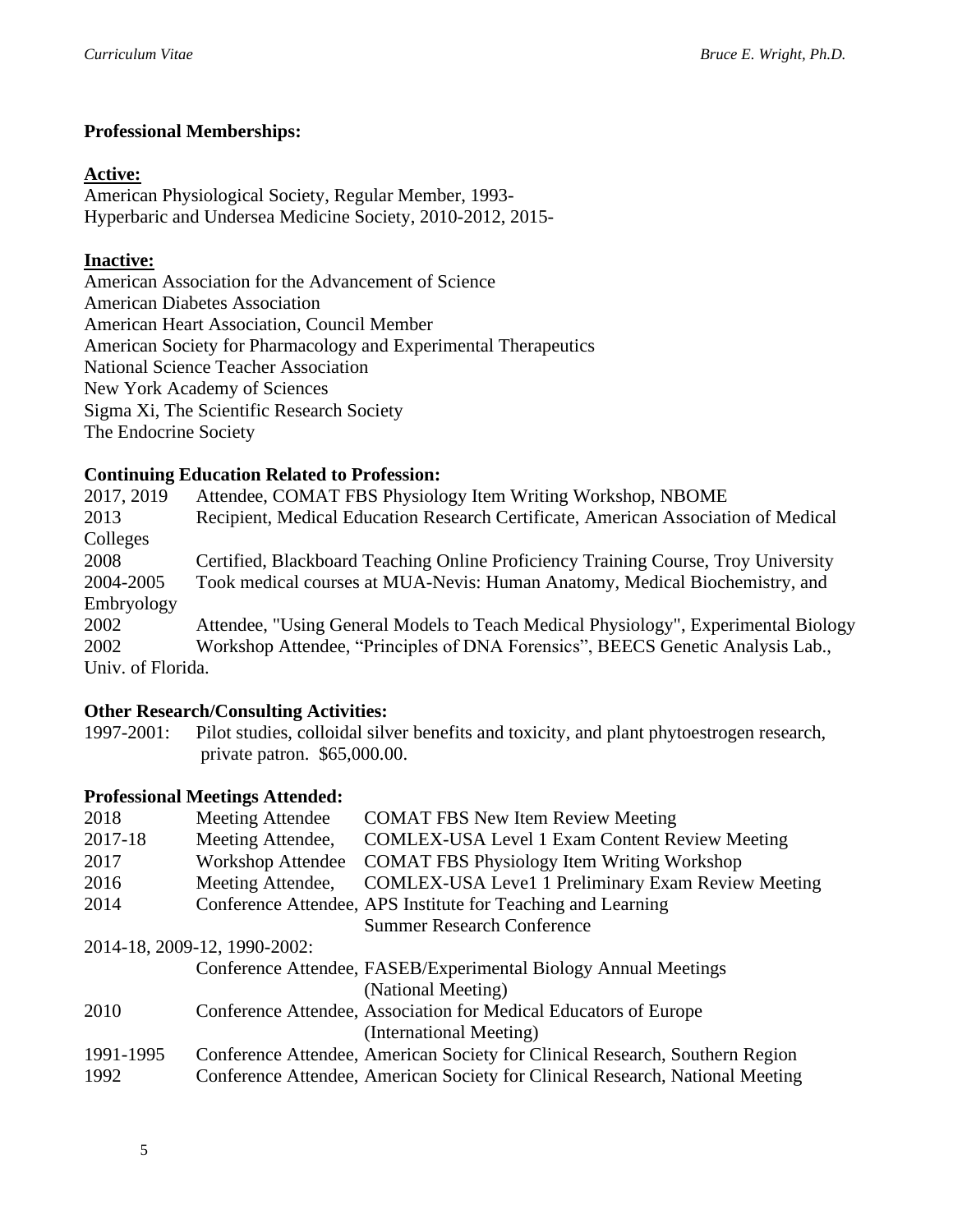## **Professional Memberships:**

## **Active:**

American Physiological Society, Regular Member, 1993- Hyperbaric and Undersea Medicine Society, 2010-2012, 2015-

## **Inactive:**

American Association for the Advancement of Science American Diabetes Association American Heart Association, Council Member American Society for Pharmacology and Experimental Therapeutics National Science Teacher Association New York Academy of Sciences Sigma Xi, The Scientific Research Society The Endocrine Society

## **Continuing Education Related to Profession:**

2017, 2019 Attendee, COMAT FBS Physiology Item Writing Workshop, NBOME 2013 Recipient, Medical Education Research Certificate, American Association of Medical Colleges 2008 Certified, Blackboard Teaching Online Proficiency Training Course, Troy University 2004-2005 Took medical courses at MUA-Nevis: Human Anatomy, Medical Biochemistry, and Embryology 2002 Attendee, "Using General Models to Teach Medical Physiology", Experimental Biology 2002 Workshop Attendee, "Principles of DNA Forensics", BEECS Genetic Analysis Lab., Univ. of Florida.

## **Other Research/Consulting Activities:**

1997-2001: Pilot studies, colloidal silver benefits and toxicity, and plant phytoestrogen research, private patron. \$65,000.00.

## **Professional Meetings Attended:**

| 2018      | <b>Meeting Attendee</b>      | <b>COMAT FBS New Item Review Meeting</b>                                      |
|-----------|------------------------------|-------------------------------------------------------------------------------|
| 2017-18   | Meeting Attendee,            | <b>COMLEX-USA Level 1 Exam Content Review Meeting</b>                         |
| 2017      | <b>Workshop Attendee</b>     | <b>COMAT FBS Physiology Item Writing Workshop</b>                             |
| 2016      | Meeting Attendee,            | <b>COMLEX-USA Level 1 Preliminary Exam Review Meeting</b>                     |
| 2014      |                              | Conference Attendee, APS Institute for Teaching and Learning                  |
|           |                              | <b>Summer Research Conference</b>                                             |
|           | 2014-18, 2009-12, 1990-2002: |                                                                               |
|           |                              | Conference Attendee, FASEB/Experimental Biology Annual Meetings               |
|           |                              | (National Meeting)                                                            |
| 2010      |                              | Conference Attendee, Association for Medical Educators of Europe              |
|           |                              | (International Meeting)                                                       |
| 1991-1995 |                              | Conference Attendee, American Society for Clinical Research, Southern Region  |
| 1992      |                              | Conference Attendee, American Society for Clinical Research, National Meeting |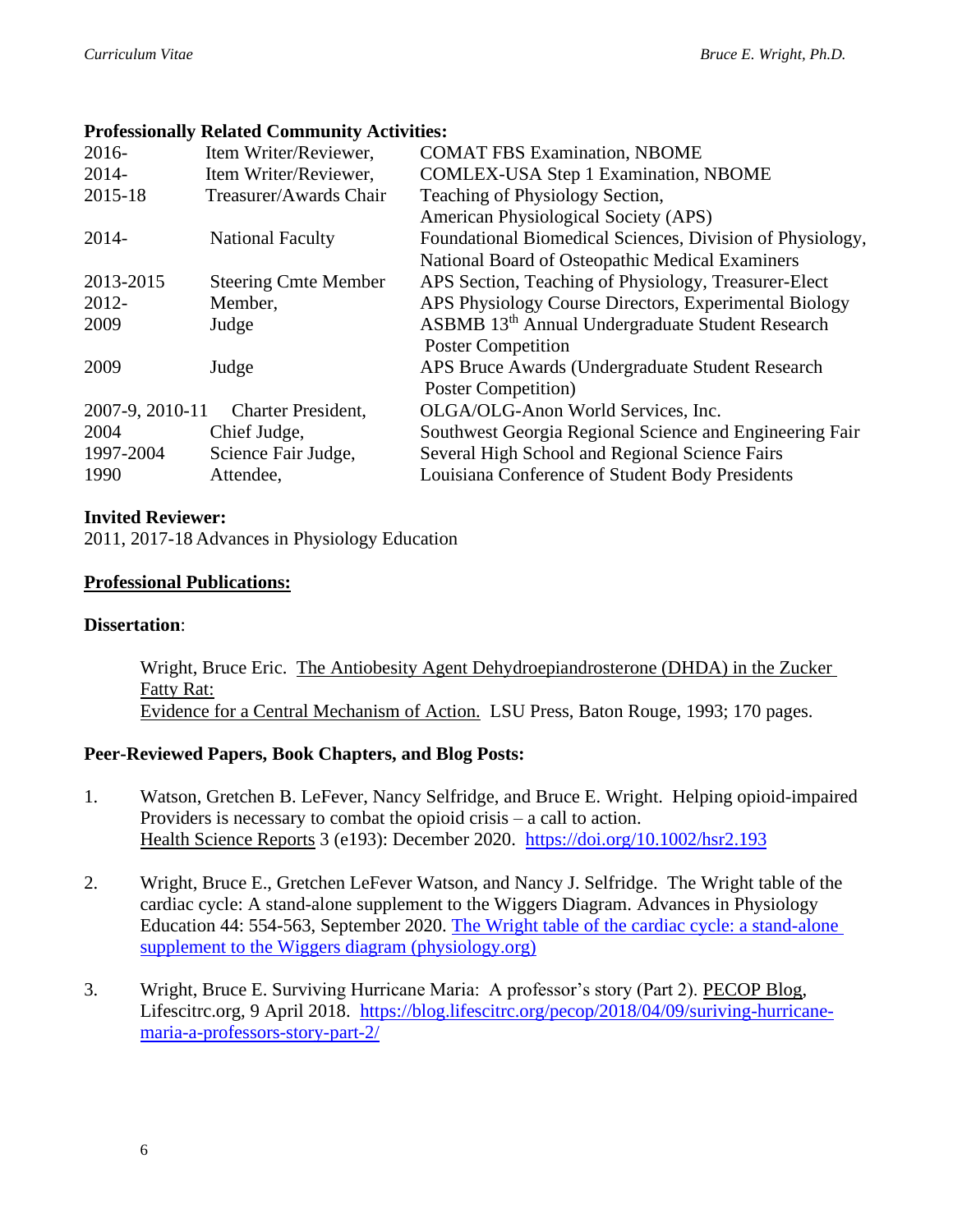## **Professionally Related Community Activities:**

| $2016-$         | Item Writer/Reviewer,       | <b>COMAT FBS Examination, NBOME</b>                          |
|-----------------|-----------------------------|--------------------------------------------------------------|
| $2014 -$        | Item Writer/Reviewer,       | <b>COMLEX-USA Step 1 Examination, NBOME</b>                  |
| 2015-18         | Treasurer/Awards Chair      | Teaching of Physiology Section,                              |
|                 |                             | American Physiological Society (APS)                         |
| $2014 -$        | <b>National Faculty</b>     | Foundational Biomedical Sciences, Division of Physiology,    |
|                 |                             | National Board of Osteopathic Medical Examiners              |
| 2013-2015       | <b>Steering Cmte Member</b> | APS Section, Teaching of Physiology, Treasurer-Elect         |
| $2012 -$        | Member,                     | APS Physiology Course Directors, Experimental Biology        |
| 2009            | Judge                       | ASBMB 13 <sup>th</sup> Annual Undergraduate Student Research |
|                 |                             | <b>Poster Competition</b>                                    |
| 2009            | Judge                       | APS Bruce Awards (Undergraduate Student Research             |
|                 |                             | Poster Competition)                                          |
| 2007-9, 2010-11 | <b>Charter President,</b>   | OLGA/OLG-Anon World Services, Inc.                           |
| 2004            | Chief Judge,                | Southwest Georgia Regional Science and Engineering Fair      |
| 1997-2004       | Science Fair Judge,         | Several High School and Regional Science Fairs               |
| 1990            | Attendee,                   | Louisiana Conference of Student Body Presidents              |

## **Invited Reviewer:**

2011, 2017-18 Advances in Physiology Education

## **Professional Publications:**

## **Dissertation**:

Wright, Bruce Eric. The Antiobesity Agent Dehydroepiandrosterone (DHDA) in the Zucker Fatty Rat: Evidence for a Central Mechanism of Action. LSU Press, Baton Rouge, 1993; 170 pages.

## **Peer-Reviewed Papers, Book Chapters, and Blog Posts:**

- 1. Watson, Gretchen B. LeFever, Nancy Selfridge, and Bruce E. Wright. Helping opioid-impaired Providers is necessary to combat the opioid crisis – a call to action. Health Science Reports 3 (e193): December 2020. <https://doi.org/10.1002/hsr2.193>
- 2. Wright, Bruce E., Gretchen LeFever Watson, and Nancy J. Selfridge. The Wright table of the cardiac cycle: A stand-alone supplement to the Wiggers Diagram. Advances in Physiology Education 44: 554-563, September 2020. [The Wright table of the cardiac cycle: a stand-alone](https://journals.physiology.org/doi/pdf/10.1152/advan.00141.2019)  [supplement to the Wiggers diagram \(physiology.org\)](https://journals.physiology.org/doi/pdf/10.1152/advan.00141.2019)
- 3. Wright, Bruce E. Surviving Hurricane Maria: A professor's story (Part 2). PECOP Blog, Lifescitrc.org, 9 April 2018. [https://blog.lifescitrc.org/pecop/2018/04/09/suriving-hurricane](https://blog.lifescitrc.org/pecop/2018/04/09/suriving-hurricane-maria-a-professors-story-part-2/)[maria-a-professors-story-part-2/](https://blog.lifescitrc.org/pecop/2018/04/09/suriving-hurricane-maria-a-professors-story-part-2/)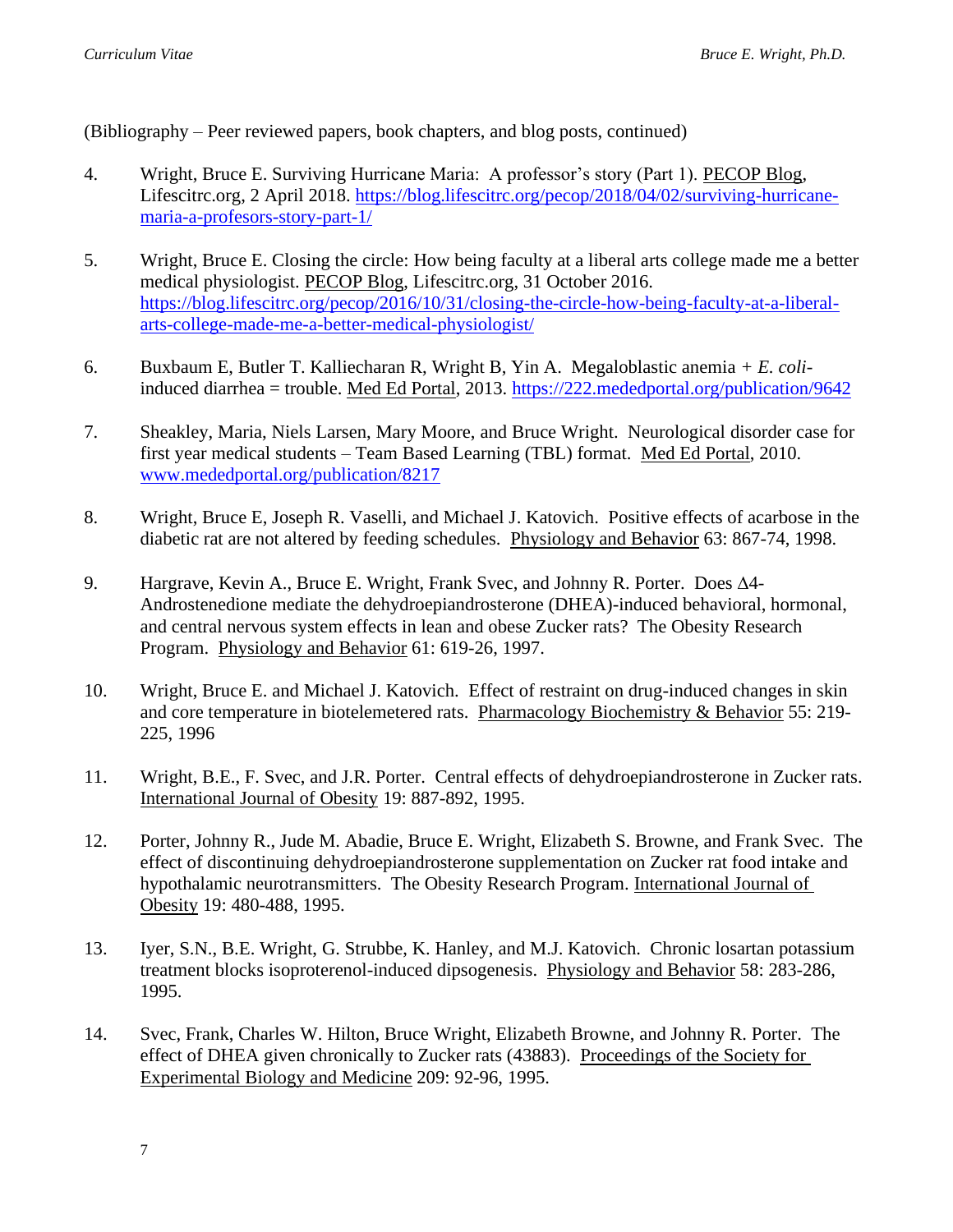(Bibliography – Peer reviewed papers, book chapters, and blog posts, continued)

- 4. Wright, Bruce E. Surviving Hurricane Maria: A professor's story (Part 1). PECOP Blog, Lifescitrc.org, 2 April 2018. [https://blog.lifescitrc.org/pecop/2018/04/02/surviving-hurricane](https://blog.lifescitrc.org/pecop/2018/04/02/surviving-hurricane-maria-a-profesors-story-part-1/)[maria-a-profesors-story-part-1/](https://blog.lifescitrc.org/pecop/2018/04/02/surviving-hurricane-maria-a-profesors-story-part-1/)
- 5. Wright, Bruce E. Closing the circle: How being faculty at a liberal arts college made me a better medical physiologist. PECOP Blog, Lifescitrc.org, 31 October 2016. [https://blog.lifescitrc.org/pecop/2016/10/31/closing-the-circle-how-being-faculty-at-a-liberal](https://blog.lifescitrc.org/pecop/2016/10/31/closing-the-circle-how-being-faculty-at-a-liberal-arts-college-made-me-a-better-medical-physiologist/)[arts-college-made-me-a-better-medical-physiologist/](https://blog.lifescitrc.org/pecop/2016/10/31/closing-the-circle-how-being-faculty-at-a-liberal-arts-college-made-me-a-better-medical-physiologist/)
- 6. Buxbaum E, Butler T. Kalliecharan R, Wright B, Yin A. Megaloblastic anemia *+ E. coli*induced diarrhea = trouble. Med Ed Portal, 2013.<https://222.mededportal.org/publication/9642>
- 7. Sheakley, Maria, Niels Larsen, Mary Moore, and Bruce Wright. Neurological disorder case for first year medical students – Team Based Learning (TBL) format. Med Ed Portal, 2010. [www.mededportal.org/publication/8217](http://www.mededportal.org/publication/8217)
- 8. Wright, Bruce E, Joseph R. Vaselli, and Michael J. Katovich. Positive effects of acarbose in the diabetic rat are not altered by feeding schedules. Physiology and Behavior 63: 867-74, 1998.
- 9. Hargrave, Kevin A., Bruce E. Wright, Frank Svec, and Johnny R. Porter. Does  $\Delta$ 4-Androstenedione mediate the dehydroepiandrosterone (DHEA)-induced behavioral, hormonal, and central nervous system effects in lean and obese Zucker rats? The Obesity Research Program. Physiology and Behavior 61: 619-26, 1997.
- 10. Wright, Bruce E. and Michael J. Katovich. Effect of restraint on drug-induced changes in skin and core temperature in biotelemetered rats. Pharmacology Biochemistry & Behavior 55: 219- 225, 1996
- 11. Wright, B.E., F. Svec, and J.R. Porter. Central effects of dehydroepiandrosterone in Zucker rats. International Journal of Obesity 19: 887-892, 1995.
- 12. Porter, Johnny R., Jude M. Abadie, Bruce E. Wright, Elizabeth S. Browne, and Frank Svec. The effect of discontinuing dehydroepiandrosterone supplementation on Zucker rat food intake and hypothalamic neurotransmitters. The Obesity Research Program. International Journal of Obesity 19: 480-488, 1995.
- 13. Iyer, S.N., B.E. Wright, G. Strubbe, K. Hanley, and M.J. Katovich. Chronic losartan potassium treatment blocks isoproterenol-induced dipsogenesis. Physiology and Behavior 58: 283-286, 1995.
- 14. Svec, Frank, Charles W. Hilton, Bruce Wright, Elizabeth Browne, and Johnny R. Porter. The effect of DHEA given chronically to Zucker rats (43883). Proceedings of the Society for Experimental Biology and Medicine 209: 92-96, 1995.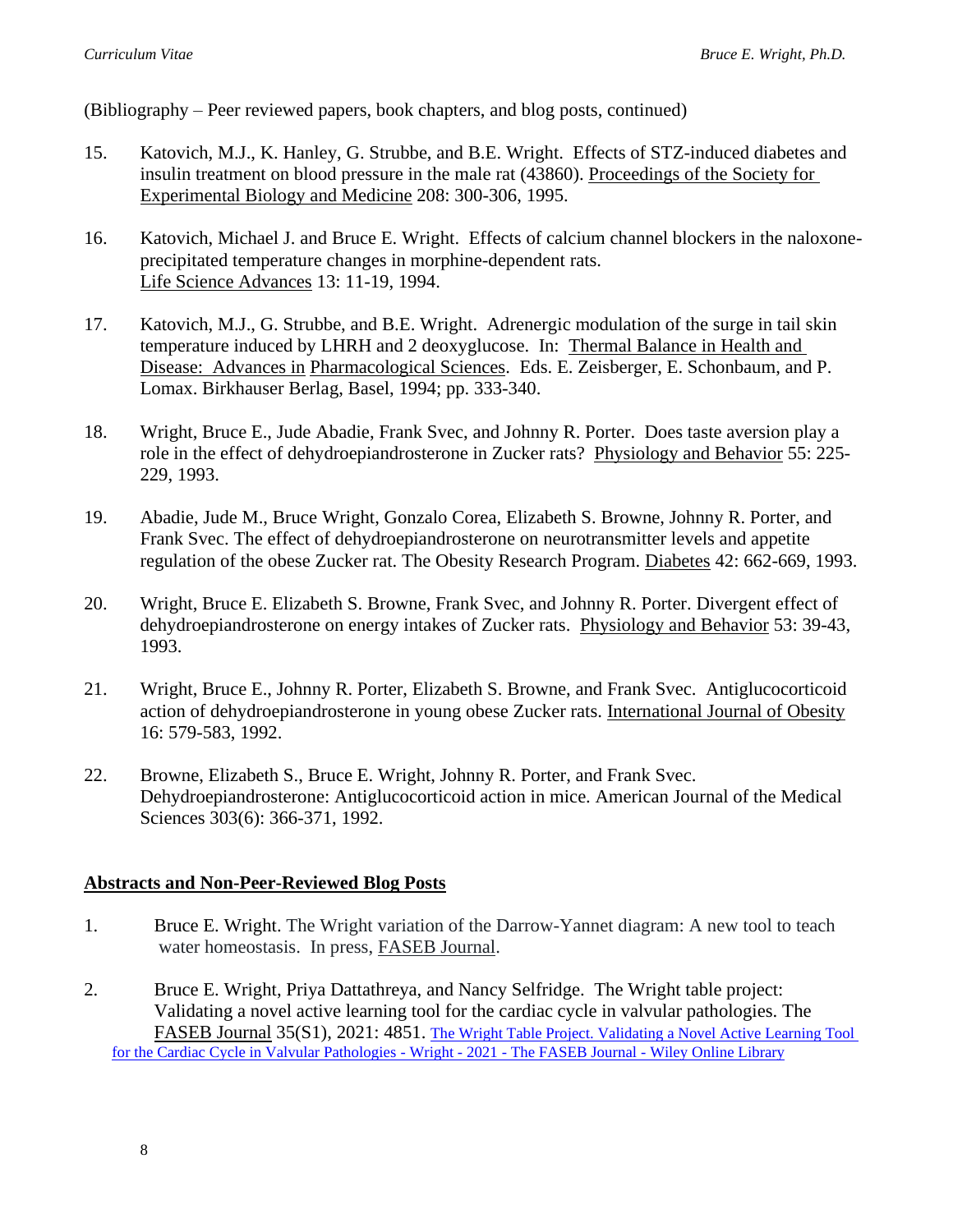(Bibliography – Peer reviewed papers, book chapters, and blog posts, continued)

- 15. Katovich, M.J., K. Hanley, G. Strubbe, and B.E. Wright. Effects of STZ-induced diabetes and insulin treatment on blood pressure in the male rat (43860). Proceedings of the Society for Experimental Biology and Medicine 208: 300-306, 1995.
- 16. Katovich, Michael J. and Bruce E. Wright. Effects of calcium channel blockers in the naloxoneprecipitated temperature changes in morphine-dependent rats. Life Science Advances 13: 11-19, 1994.
- 17. Katovich, M.J., G. Strubbe, and B.E. Wright. Adrenergic modulation of the surge in tail skin temperature induced by LHRH and 2 deoxyglucose. In: Thermal Balance in Health and Disease: Advances in Pharmacological Sciences. Eds. E. Zeisberger, E. Schonbaum, and P. Lomax. Birkhauser Berlag, Basel, 1994; pp. 333-340.
- 18. Wright, Bruce E., Jude Abadie, Frank Svec, and Johnny R. Porter. Does taste aversion play a role in the effect of dehydroepiandrosterone in Zucker rats? Physiology and Behavior 55: 225-229, 1993.
- 19. Abadie, Jude M., Bruce Wright, Gonzalo Corea, Elizabeth S. Browne, Johnny R. Porter, and Frank Svec. The effect of dehydroepiandrosterone on neurotransmitter levels and appetite regulation of the obese Zucker rat. The Obesity Research Program. Diabetes 42: 662-669, 1993.
- 20. Wright, Bruce E. Elizabeth S. Browne, Frank Svec, and Johnny R. Porter. Divergent effect of dehydroepiandrosterone on energy intakes of Zucker rats. Physiology and Behavior 53: 39-43, 1993.
- 21. Wright, Bruce E., Johnny R. Porter, Elizabeth S. Browne, and Frank Svec. Antiglucocorticoid action of dehydroepiandrosterone in young obese Zucker rats. International Journal of Obesity 16: 579-583, 1992.
- 22. Browne, Elizabeth S., Bruce E. Wright, Johnny R. Porter, and Frank Svec. Dehydroepiandrosterone: Antiglucocorticoid action in mice. American Journal of the Medical Sciences 303(6): 366-371, 1992.

#### **Abstracts and Non-Peer-Reviewed Blog Posts**

- 1. Bruce E. Wright. The Wright variation of the Darrow-Yannet diagram: A new tool to teach water homeostasis. In press, FASEB Journal.
- 2. Bruce E. Wright, Priya Dattathreya, and Nancy Selfridge. The Wright table project: Validating a novel active learning tool for the cardiac cycle in valvular pathologies. The FASEB Journal 35(S1), 2021: 4851. [The Wright Table Project. Validating a Novel Active Learning Tool](https://faseb.onlinelibrary.wiley.com/doi/10.1096/fasebj.2021.35.S1.04851)  [for the Cardiac Cycle in Valvular Pathologies -](https://faseb.onlinelibrary.wiley.com/doi/10.1096/fasebj.2021.35.S1.04851) Wright - 2021 - The FASEB Journal - Wiley Online Library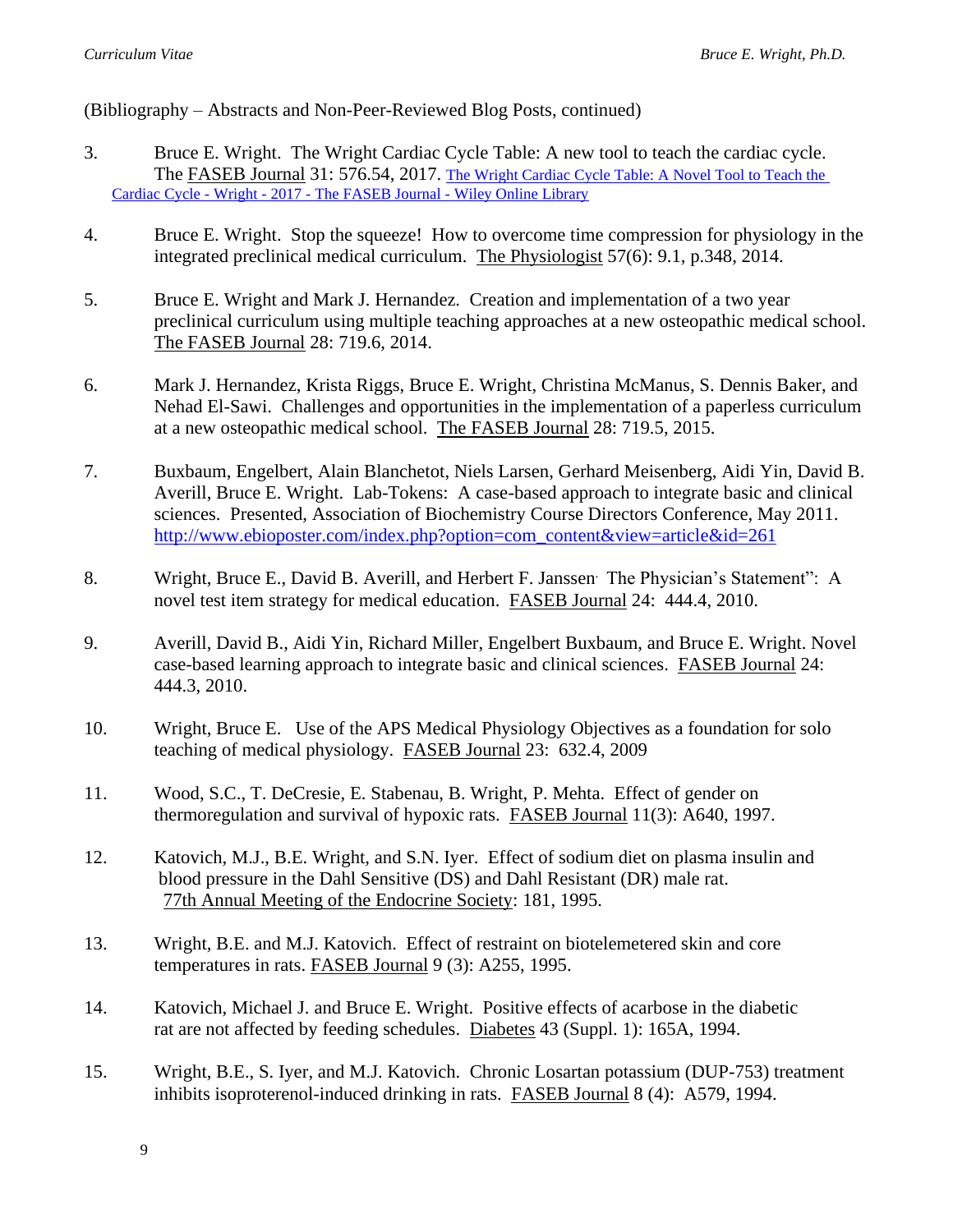(Bibliography – Abstracts and Non-Peer-Reviewed Blog Posts, continued)

- 3. Bruce E. Wright. The Wright Cardiac Cycle Table: A new tool to teach the cardiac cycle. The FASEB Journal 31: 576.54, 2017. [The Wright Cardiac Cycle Table: A Novel Tool to Teach the](https://faseb.onlinelibrary.wiley.com/doi/abs/10.1096/fasebj.31.1_supplement.576.54)  Cardiac Cycle - Wright - 2017 - [The FASEB Journal -](https://faseb.onlinelibrary.wiley.com/doi/abs/10.1096/fasebj.31.1_supplement.576.54) Wiley Online Library
- 4. Bruce E. Wright. Stop the squeeze! How to overcome time compression for physiology in the integrated preclinical medical curriculum. The Physiologist 57(6): 9.1, p.348, 2014.
- 5. Bruce E. Wright and Mark J. Hernandez. Creation and implementation of a two year preclinical curriculum using multiple teaching approaches at a new osteopathic medical school. The FASEB Journal 28: 719.6, 2014.
- 6. Mark J. Hernandez, Krista Riggs, Bruce E. Wright, Christina McManus, S. Dennis Baker, and Nehad El-Sawi. Challenges and opportunities in the implementation of a paperless curriculum at a new osteopathic medical school. The FASEB Journal 28: 719.5, 2015.
- 7. Buxbaum, Engelbert, Alain Blanchetot, Niels Larsen, Gerhard Meisenberg, Aidi Yin, David B. Averill, Bruce E. Wright. Lab-Tokens: A case-based approach to integrate basic and clinical sciences. Presented, Association of Biochemistry Course Directors Conference, May 2011. [http://www.ebioposter.com/index.php?option=com\\_content&view=article&id=261](http://www.ebioposter.com/index.php?option=com_content&view=article&id=261)
- 8. Wright, Bruce E., David B. Averill, and Herbert F. Janssen. The Physician's Statement": A novel test item strategy for medical education. FASEB Journal 24: 444.4, 2010.
- 9. Averill, David B., Aidi Yin, Richard Miller, Engelbert Buxbaum, and Bruce E. Wright. Novel case-based learning approach to integrate basic and clinical sciences. FASEB Journal 24: 444.3, 2010.
- 10. Wright, Bruce E. Use of the APS Medical Physiology Objectives as a foundation for solo teaching of medical physiology. FASEB Journal 23: 632.4, 2009
- 11. Wood, S.C., T. DeCresie, E. Stabenau, B. Wright, P. Mehta. Effect of gender on thermoregulation and survival of hypoxic rats. FASEB Journal 11(3): A640, 1997.
- 12. Katovich, M.J., B.E. Wright, and S.N. Iyer. Effect of sodium diet on plasma insulin and blood pressure in the Dahl Sensitive (DS) and Dahl Resistant (DR) male rat. 77th Annual Meeting of the Endocrine Society: 181, 1995.
- 13. Wright, B.E. and M.J. Katovich. Effect of restraint on biotelemetered skin and core temperatures in rats. FASEB Journal 9 (3): A255, 1995.
- 14. Katovich, Michael J. and Bruce E. Wright. Positive effects of acarbose in the diabetic rat are not affected by feeding schedules. Diabetes 43 (Suppl. 1): 165A, 1994.
- 15. Wright, B.E., S. Iyer, and M.J. Katovich. Chronic Losartan potassium (DUP-753) treatment inhibits isoproterenol-induced drinking in rats. FASEB Journal 8 (4): A579, 1994.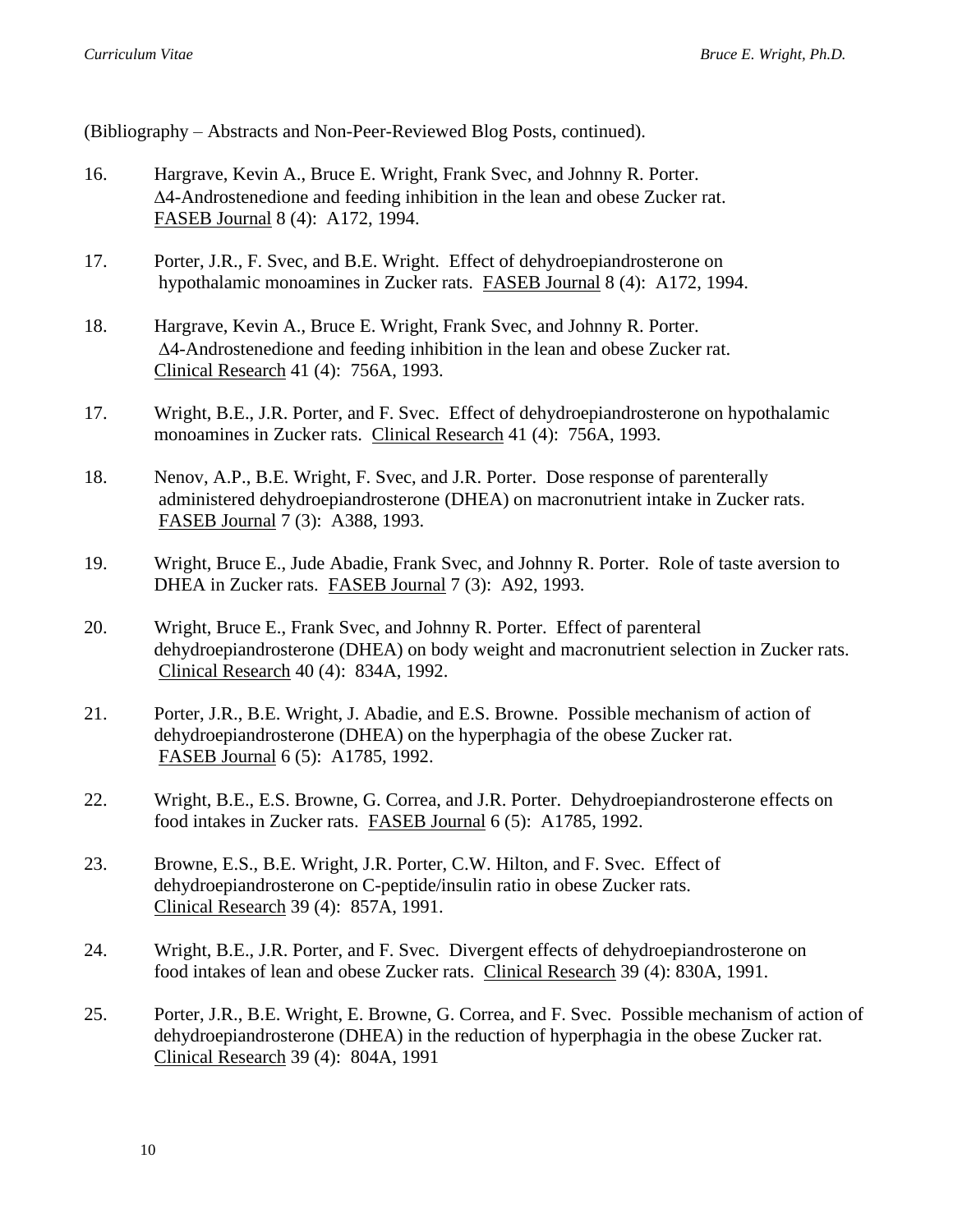(Bibliography – Abstracts and Non-Peer-Reviewed Blog Posts, continued).

- 16. Hargrave, Kevin A., Bruce E. Wright, Frank Svec, and Johnny R. Porter. 4-Androstenedione and feeding inhibition in the lean and obese Zucker rat. FASEB Journal 8 (4): A172, 1994.
- 17. Porter, J.R., F. Svec, and B.E. Wright. Effect of dehydroepiandrosterone on hypothalamic monoamines in Zucker rats. FASEB Journal 8 (4): A172, 1994.
- 18. Hargrave, Kevin A., Bruce E. Wright, Frank Svec, and Johnny R. Porter. 4-Androstenedione and feeding inhibition in the lean and obese Zucker rat. Clinical Research 41 (4): 756A, 1993.
- 17. Wright, B.E., J.R. Porter, and F. Svec. Effect of dehydroepiandrosterone on hypothalamic monoamines in Zucker rats. Clinical Research 41 (4): 756A, 1993.
- 18. Nenov, A.P., B.E. Wright, F. Svec, and J.R. Porter. Dose response of parenterally administered dehydroepiandrosterone (DHEA) on macronutrient intake in Zucker rats. FASEB Journal 7 (3): A388, 1993.
- 19. Wright, Bruce E., Jude Abadie, Frank Svec, and Johnny R. Porter. Role of taste aversion to DHEA in Zucker rats. FASEB Journal 7 (3): A92, 1993.
- 20. Wright, Bruce E., Frank Svec, and Johnny R. Porter. Effect of parenteral dehydroepiandrosterone (DHEA) on body weight and macronutrient selection in Zucker rats. Clinical Research 40 (4): 834A, 1992.
- 21. Porter, J.R., B.E. Wright, J. Abadie, and E.S. Browne. Possible mechanism of action of dehydroepiandrosterone (DHEA) on the hyperphagia of the obese Zucker rat. FASEB Journal 6 (5): A1785, 1992.
- 22. Wright, B.E., E.S. Browne, G. Correa, and J.R. Porter. Dehydroepiandrosterone effects on food intakes in Zucker rats. FASEB Journal 6 (5): A1785, 1992.
- 23. Browne, E.S., B.E. Wright, J.R. Porter, C.W. Hilton, and F. Svec. Effect of dehydroepiandrosterone on C-peptide/insulin ratio in obese Zucker rats. Clinical Research 39 (4): 857A, 1991.
- 24. Wright, B.E., J.R. Porter, and F. Svec. Divergent effects of dehydroepiandrosterone on food intakes of lean and obese Zucker rats. Clinical Research 39 (4): 830A, 1991.
- 25. Porter, J.R., B.E. Wright, E. Browne, G. Correa, and F. Svec. Possible mechanism of action of dehydroepiandrosterone (DHEA) in the reduction of hyperphagia in the obese Zucker rat. Clinical Research 39 (4): 804A, 1991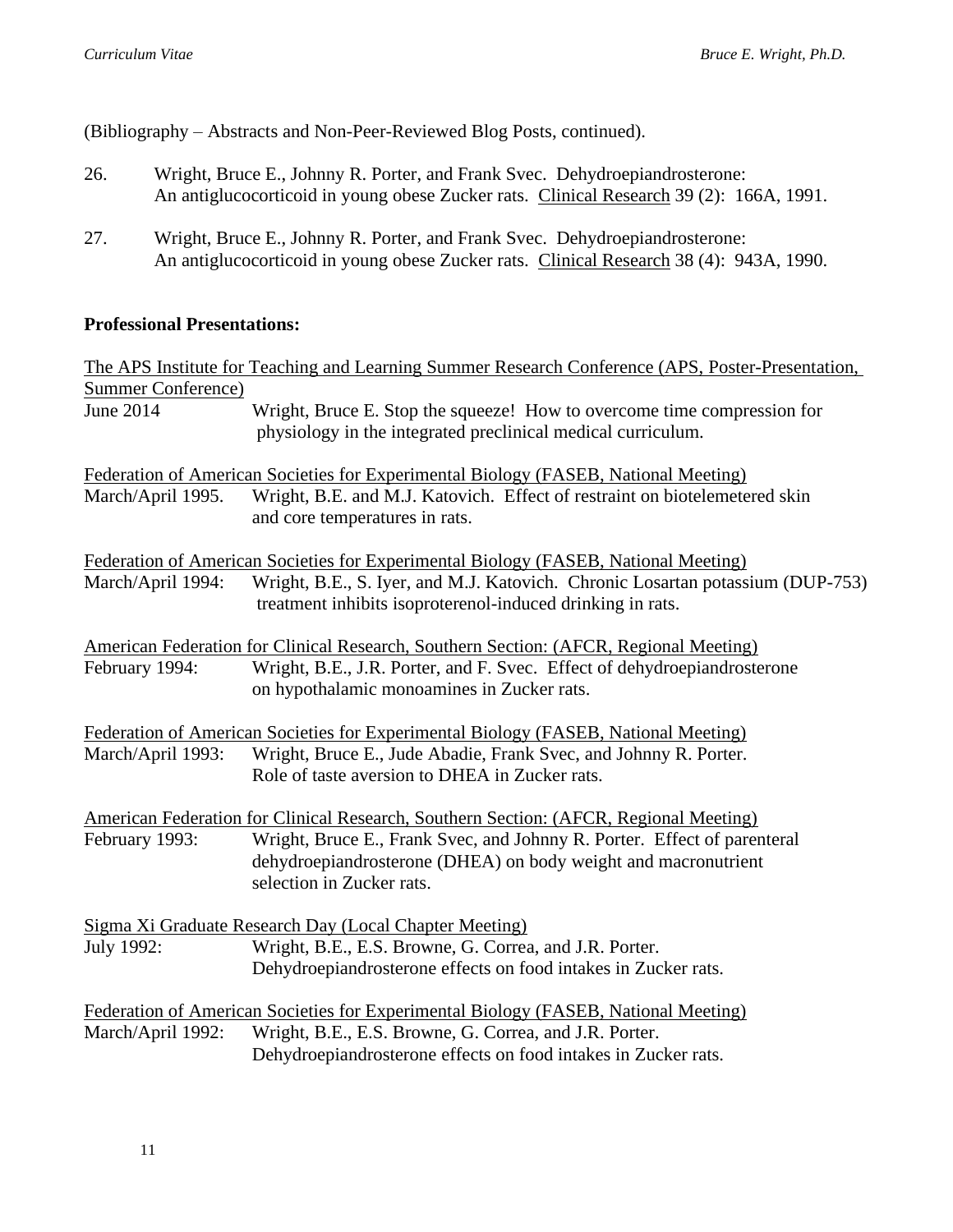(Bibliography – Abstracts and Non-Peer-Reviewed Blog Posts, continued).

- 26. Wright, Bruce E., Johnny R. Porter, and Frank Svec. Dehydroepiandrosterone: An antiglucocorticoid in young obese Zucker rats. Clinical Research 39 (2): 166A, 1991.
- 27. Wright, Bruce E., Johnny R. Porter, and Frank Svec. Dehydroepiandrosterone: An antiglucocorticoid in young obese Zucker rats. Clinical Research 38 (4): 943A, 1990.

## **Professional Presentations:**

|                           | The APS Institute for Teaching and Learning Summer Research Conference (APS, Poster-Presentation,                                       |
|---------------------------|-----------------------------------------------------------------------------------------------------------------------------------------|
| <b>Summer Conference)</b> |                                                                                                                                         |
| <b>June 2014</b>          | Wright, Bruce E. Stop the squeeze! How to overcome time compression for<br>physiology in the integrated preclinical medical curriculum. |
|                           |                                                                                                                                         |
|                           | Federation of American Societies for Experimental Biology (FASEB, National Meeting)                                                     |
| March/April 1995.         | Wright, B.E. and M.J. Katovich. Effect of restraint on biotelemetered skin                                                              |
|                           | and core temperatures in rats.                                                                                                          |
|                           | Federation of American Societies for Experimental Biology (FASEB, National Meeting)                                                     |
| March/April 1994:         | Wright, B.E., S. Iyer, and M.J. Katovich. Chronic Losartan potassium (DUP-753)                                                          |
|                           | treatment inhibits isoproterenol-induced drinking in rats.                                                                              |
|                           | American Federation for Clinical Research, Southern Section: (AFCR, Regional Meeting)                                                   |
| February 1994:            | Wright, B.E., J.R. Porter, and F. Svec. Effect of dehydroepiandrosterone                                                                |
|                           | on hypothalamic monoamines in Zucker rats.                                                                                              |
|                           | Federation of American Societies for Experimental Biology (FASEB, National Meeting)                                                     |
| March/April 1993:         | Wright, Bruce E., Jude Abadie, Frank Svec, and Johnny R. Porter.                                                                        |
|                           | Role of taste aversion to DHEA in Zucker rats.                                                                                          |
|                           | American Federation for Clinical Research, Southern Section: (AFCR, Regional Meeting)                                                   |
| February 1993:            | Wright, Bruce E., Frank Svec, and Johnny R. Porter. Effect of parenteral                                                                |
|                           | dehydroepiandrosterone (DHEA) on body weight and macronutrient                                                                          |
|                           | selection in Zucker rats.                                                                                                               |
|                           | Sigma Xi Graduate Research Day (Local Chapter Meeting)                                                                                  |
| July 1992:                | Wright, B.E., E.S. Browne, G. Correa, and J.R. Porter.                                                                                  |
|                           | Dehydroepiandrosterone effects on food intakes in Zucker rats.                                                                          |
|                           | Federation of American Societies for Experimental Biology (FASEB, National Meeting)                                                     |
| March/April 1992:         | Wright, B.E., E.S. Browne, G. Correa, and J.R. Porter.                                                                                  |
|                           | Dehydroepiandrosterone effects on food intakes in Zucker rats.                                                                          |